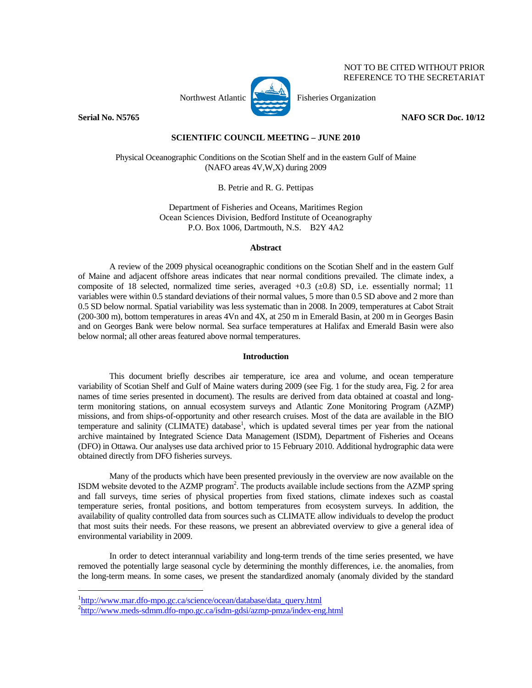

NOT TO BE CITED WITHOUT PRIOR REFERENCE TO THE SECRETARIAT

**Serial No. N5765** NAFO SCR Doc. 10/12

# **SCIENTIFIC COUNCIL MEETING – JUNE 2010**

Physical Oceanographic Conditions on the Scotian Shelf and in the eastern Gulf of Maine (NAFO areas 4V,W,X) during 2009

B. Petrie and R. G. Pettipas

Department of Fisheries and Oceans, Maritimes Region Ocean Sciences Division, Bedford Institute of Oceanography P.O. Box 1006, Dartmouth, N.S. B2Y 4A2

# **Abstract**

 A review of the 2009 physical oceanographic conditions on the Scotian Shelf and in the eastern Gulf of Maine and adjacent offshore areas indicates that near normal conditions prevailed. The climate index, a composite of 18 selected, normalized time series, averaged  $+0.3$  ( $\pm 0.8$ ) SD, i.e. essentially normal; 11 variables were within 0.5 standard deviations of their normal values, 5 more than 0.5 SD above and 2 more than 0.5 SD below normal. Spatial variability was less systematic than in 2008. In 2009, temperatures at Cabot Strait (200-300 m), bottom temperatures in areas 4Vn and 4X, at 250 m in Emerald Basin, at 200 m in Georges Basin and on Georges Bank were below normal. Sea surface temperatures at Halifax and Emerald Basin were also below normal; all other areas featured above normal temperatures.

# **Introduction**

 This document briefly describes air temperature, ice area and volume, and ocean temperature variability of Scotian Shelf and Gulf of Maine waters during 2009 (see Fig. 1 for the study area, Fig. 2 for area names of time series presented in document). The results are derived from data obtained at coastal and longterm monitoring stations, on annual ecosystem surveys and Atlantic Zone Monitoring Program (AZMP) missions, and from ships-of-opportunity and other research cruises. Most of the data are available in the BIO temperature and salinity (CLIMATE) database<sup>1</sup>, which is updated several times per year from the national archive maintained by Integrated Science Data Management (ISDM), Department of Fisheries and Oceans (DFO) in Ottawa. Our analyses use data archived prior to 15 February 2010. Additional hydrographic data were obtained directly from DFO fisheries surveys.

 Many of the products which have been presented previously in the overview are now available on the ISDM website devoted to the AZMP program<sup>2</sup>. The products available include sections from the AZMP spring and fall surveys, time series of physical properties from fixed stations, climate indexes such as coastal temperature series, frontal positions, and bottom temperatures from ecosystem surveys. In addition, the availability of quality controlled data from sources such as CLIMATE allow individuals to develop the product that most suits their needs. For these reasons, we present an abbreviated overview to give a general idea of environmental variability in 2009.

 In order to detect interannual variability and long-term trends of the time series presented, we have removed the potentially large seasonal cycle by determining the monthly differences, i.e. the anomalies, from the long-term means. In some cases, we present the standardized anomaly (anomaly divided by the standard

 $\overline{a}$ 

<sup>&</sup>lt;sup>1</sup>http://www.mar.dfo-mpo.gc.ca/science/ocean/database/data\_query.html<br><sup>2</sup>http://www.mar.dfo-mpo.gc.ca/science/ocean/database/data\_query.html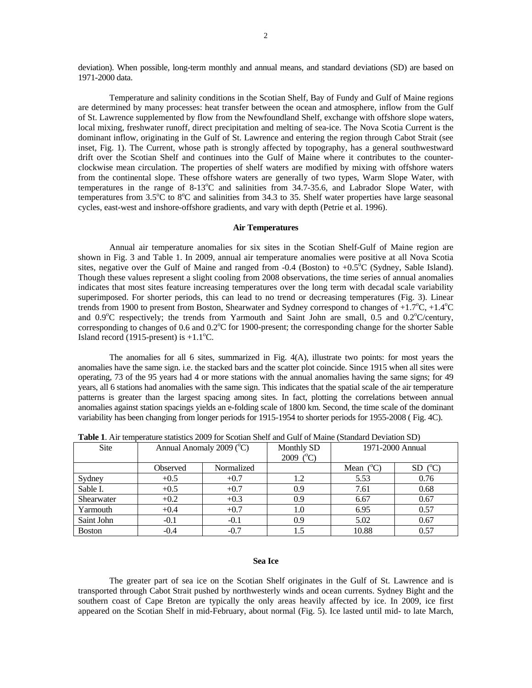deviation). When possible, long-term monthly and annual means, and standard deviations (SD) are based on 1971-2000 data.

Temperature and salinity conditions in the Scotian Shelf, Bay of Fundy and Gulf of Maine regions are determined by many processes: heat transfer between the ocean and atmosphere, inflow from the Gulf of St. Lawrence supplemented by flow from the Newfoundland Shelf, exchange with offshore slope waters, local mixing, freshwater runoff, direct precipitation and melting of sea-ice. The Nova Scotia Current is the dominant inflow, originating in the Gulf of St. Lawrence and entering the region through Cabot Strait (see inset, Fig. 1). The Current, whose path is strongly affected by topography, has a general southwestward drift over the Scotian Shelf and continues into the Gulf of Maine where it contributes to the counterclockwise mean circulation. The properties of shelf waters are modified by mixing with offshore waters from the continental slope. These offshore waters are generally of two types, Warm Slope Water, with temperatures in the range of 8-13<sup>o</sup>C and salinities from 34.7-35.6, and Labrador Slope Water, with temperatures from  $3.5^{\circ}$ C to  $8^{\circ}$ C and salinities from 34.3 to 35. Shelf water properties have large seasonal cycles, east-west and inshore-offshore gradients, and vary with depth (Petrie et al. 1996).

#### **Air Temperatures**

Annual air temperature anomalies for six sites in the Scotian Shelf-Gulf of Maine region are shown in Fig. 3 and Table 1. In 2009, annual air temperature anomalies were positive at all Nova Scotia sites, negative over the Gulf of Maine and ranged from -0.4 (Boston) to  $+0.5^{\circ}$ C (Sydney, Sable Island). Though these values represent a slight cooling from 2008 observations, the time series of annual anomalies indicates that most sites feature increasing temperatures over the long term with decadal scale variability superimposed. For shorter periods, this can lead to no trend or decreasing temperatures (Fig. 3). Linear trends from 1900 to present from Boston, Shearwater and Sydney correspond to changes of  $+1.7^{\circ}C$ ,  $+1.4^{\circ}C$ and 0.9°C respectively; the trends from Yarmouth and Saint John are small, 0.5 and 0.2°C/century, corresponding to changes of 0.6 and 0.2°C for 1900-present; the corresponding change for the shorter Sable Island record (1915-present) is  $+1.1^{\circ}$ C.

The anomalies for all 6 sites, summarized in Fig. 4(A), illustrate two points: for most years the anomalies have the same sign. i.e. the stacked bars and the scatter plot coincide. Since 1915 when all sites were operating, 73 of the 95 years had 4 or more stations with the annual anomalies having the same signs; for 49 years, all 6 stations had anomalies with the same sign. This indicates that the spatial scale of the air temperature patterns is greater than the largest spacing among sites. In fact, plotting the correlations between annual anomalies against station spacings yields an e-folding scale of 1800 km. Second, the time scale of the dominant variability has been changing from longer periods for 1915-1954 to shorter periods for 1955-2008 ( Fig. 4C).

| <b>Site</b>   | Annual Anomaly 2009 (°C) |            | Monthly SD<br>2009 $(C)$ | 1971-2000 Annual   |             |
|---------------|--------------------------|------------|--------------------------|--------------------|-------------|
|               | Observed                 | Normalized |                          | Mean $(^{\circ}C)$ | $SD$ ( $°C$ |
| Sydney        | $+0.5$                   | $+0.7$     | 1.2                      | 5.53               | 0.76        |
| Sable I.      | $+0.5$                   | $+0.7$     | 0.9                      | 7.61               | 0.68        |
| Shearwater    | $+0.2$                   | $+0.3$     | 0.9                      | 6.67               | 0.67        |
| Yarmouth      | $+0.4$                   | $+0.7$     | 1.0                      | 6.95               | 0.57        |
| Saint John    | $-0.1$                   | $-0.1$     | 0.9                      | 5.02               | 0.67        |
| <b>Boston</b> | $-0.4$                   | $-0.7$     | 1.5                      | 10.88              | 0.57        |

**Table 1**. Air temperature statistics 2009 for Scotian Shelf and Gulf of Maine (Standard Deviation SD)

#### **Sea Ice**

The greater part of sea ice on the Scotian Shelf originates in the Gulf of St. Lawrence and is transported through Cabot Strait pushed by northwesterly winds and ocean currents. Sydney Bight and the southern coast of Cape Breton are typically the only areas heavily affected by ice. In 2009, ice first appeared on the Scotian Shelf in mid-February, about normal (Fig. 5). Ice lasted until mid- to late March,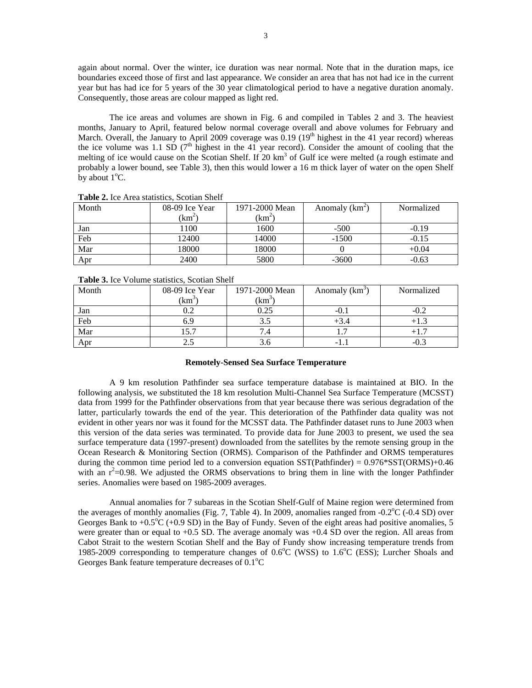again about normal. Over the winter, ice duration was near normal. Note that in the duration maps, ice boundaries exceed those of first and last appearance. We consider an area that has not had ice in the current year but has had ice for 5 years of the 30 year climatological period to have a negative duration anomaly. Consequently, those areas are colour mapped as light red.

The ice areas and volumes are shown in Fig. 6 and compiled in Tables 2 and 3. The heaviest months, January to April, featured below normal coverage overall and above volumes for February and March. Overall, the January to April 2009 coverage was  $0.19$  ( $19<sup>th</sup>$  highest in the 41 year record) whereas the ice volume was 1.1 SD  $(7<sup>th</sup>$  highest in the 41 year record). Consider the amount of cooling that the melting of ice would cause on the Scotian Shelf. If  $20 \text{ km}^3$  of Gulf ice were melted (a rough estimate and probably a lower bound, see Table 3), then this would lower a 16 m thick layer of water on the open Shelf by about  $1^{\circ}$ C.

| Month | 08-09 Ice Year | 1971-2000 Mean | Anomaly $(km^2)$ | Normalized |
|-------|----------------|----------------|------------------|------------|
|       | $(km^2)$       | $(km^2)$       |                  |            |
| Jan   | 1100           | 1600           | $-500$           | $-0.19$    |
| Feb   | 12400          | 14000          | $-1500$          | $-0.15$    |
| Mar   | 18000          | 18000          |                  | $+0.04$    |
| Apr   | 2400           | 5800           | $-3600$          | $-0.63$    |

**Table 2.** Ice Area statistics, Scotian Shelf

|  |  |  | Table 3. Ice Volume statistics, Scotian Shelf |  |  |
|--|--|--|-----------------------------------------------|--|--|
|--|--|--|-----------------------------------------------|--|--|

| <b>rapic state</b> volume statistics, beotial blief |                |                |                            |            |  |  |
|-----------------------------------------------------|----------------|----------------|----------------------------|------------|--|--|
| Month                                               | 08-09 Ice Year | 1971-2000 Mean | Anomaly (km <sup>3</sup> ) | Normalized |  |  |
|                                                     | $(km^3)$       | $(km^3)$       |                            |            |  |  |
| Jan                                                 | 0.2            | 0.25           | $-0.1$                     |            |  |  |
| Feb                                                 | 6.9            | ر. ر           | +3.4                       | $+1.3$     |  |  |
| Mar                                                 | 1 J. J         |                |                            |            |  |  |
| Apr                                                 |                |                |                            |            |  |  |

# **Remotely-Sensed Sea Surface Temperature**

A 9 km resolution Pathfinder sea surface temperature database is maintained at BIO. In the following analysis, we substituted the 18 km resolution Multi-Channel Sea Surface Temperature (MCSST) data from 1999 for the Pathfinder observations from that year because there was serious degradation of the latter, particularly towards the end of the year. This deterioration of the Pathfinder data quality was not evident in other years nor was it found for the MCSST data. The Pathfinder dataset runs to June 2003 when this version of the data series was terminated. To provide data for June 2003 to present, we used the sea surface temperature data (1997-present) downloaded from the satellites by the remote sensing group in the Ocean Research & Monitoring Section (ORMS). Comparison of the Pathfinder and ORMS temperatures during the common time period led to a conversion equation  $SST(Pathfinder) = 0.976*SST(ORMS)+0.46$ with an  $r^2$ =0.98. We adjusted the ORMS observations to bring them in line with the longer Pathfinder series. Anomalies were based on 1985-2009 averages.

Annual anomalies for 7 subareas in the Scotian Shelf-Gulf of Maine region were determined from the averages of monthly anomalies (Fig. 7, Table 4). In 2009, anomalies ranged from -0.2°C (-0.4 SD) over Georges Bank to  $+0.5^{\circ}C$  (+0.9 SD) in the Bay of Fundy. Seven of the eight areas had positive anomalies, 5 were greater than or equal to +0.5 SD. The average anomaly was +0.4 SD over the region. All areas from Cabot Strait to the western Scotian Shelf and the Bay of Fundy show increasing temperature trends from 1985-2009 corresponding to temperature changes of 0.6°C (WSS) to 1.6°C (ESS); Lurcher Shoals and Georges Bank feature temperature decreases of 0.1°C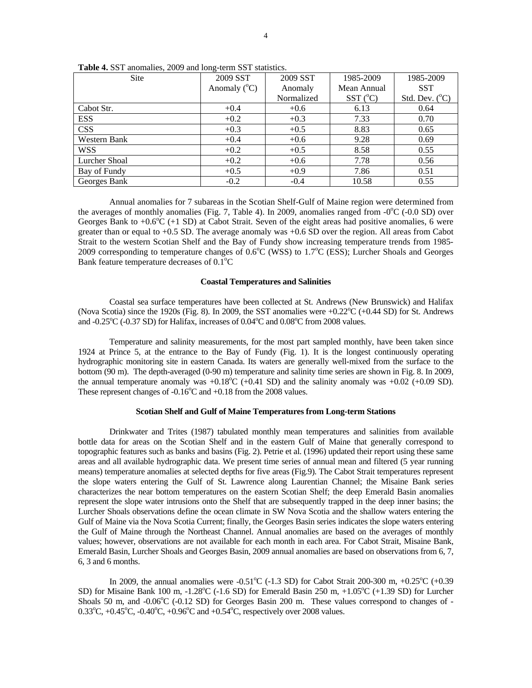| <b>Site</b>   | 2009 SST              | 2009 SST   | 1985-2009        | 1985-2009               |
|---------------|-----------------------|------------|------------------|-------------------------|
|               | Anomaly $(^{\circ}C)$ | Anomaly    | Mean Annual      | <b>SST</b>              |
|               |                       | Normalized | $SST(^{\circ}C)$ | Std. Dev. $(^{\circ}C)$ |
| Cabot Str.    | $+0.4$                | $+0.6$     | 6.13             | 0.64                    |
| <b>ESS</b>    | $+0.2$                | $+0.3$     | 7.33             | 0.70                    |
| <b>CSS</b>    | $+0.3$                | $+0.5$     | 8.83             | 0.65                    |
| Western Bank  | $+0.4$                | $+0.6$     | 9.28             | 0.69                    |
| <b>WSS</b>    | $+0.2$                | $+0.5$     | 8.58             | 0.55                    |
| Lurcher Shoal | $+0.2$                | $+0.6$     | 7.78             | 0.56                    |
| Bay of Fundy  | $+0.5$                | $+0.9$     | 7.86             | 0.51                    |
| Georges Bank  | $-0.2$                | $-0.4$     | 10.58            | 0.55                    |

**Table 4.** SST anomalies, 2009 and long-term SST statistics.

Annual anomalies for 7 subareas in the Scotian Shelf-Gulf of Maine region were determined from the averages of monthly anomalies (Fig. 7, Table 4). In 2009, anomalies ranged from  $-0^{\circ}$ C  $(-0.0 S$ D) over Georges Bank to  $+0.6^{\circ}C$  (+1 SD) at Cabot Strait. Seven of the eight areas had positive anomalies, 6 were greater than or equal to +0.5 SD. The average anomaly was +0.6 SD over the region. All areas from Cabot Strait to the western Scotian Shelf and the Bay of Fundy show increasing temperature trends from 1985- 2009 corresponding to temperature changes of  $0.6^{\circ}$ C (WSS) to  $1.7^{\circ}$ C (ESS); Lurcher Shoals and Georges Bank feature temperature decreases of 0.1°C

### **Coastal Temperatures and Salinities**

 Coastal sea surface temperatures have been collected at St. Andrews (New Brunswick) and Halifax (Nova Scotia) since the 1920s (Fig. 8). In 2009, the SST anomalies were  $+0.22^{\circ}C$  ( $+0.44$  SD) for St. Andrews and -0.25°C (-0.37 SD) for Halifax, increases of  $0.04^{\circ}$ C and  $0.08^{\circ}$ C from 2008 values.

 Temperature and salinity measurements, for the most part sampled monthly, have been taken since 1924 at Prince 5, at the entrance to the Bay of Fundy (Fig. 1). It is the longest continuously operating hydrographic monitoring site in eastern Canada. Its waters are generally well-mixed from the surface to the bottom (90 m). The depth-averaged (0-90 m) temperature and salinity time series are shown in Fig. 8. In 2009, the annual temperature anomaly was  $+0.18^{\circ}$ C ( $+0.41$  SD) and the salinity anomaly was  $+0.02$  ( $+0.09$  SD). These represent changes of  $-0.16^{\circ}$ C and  $+0.18$  from the 2008 values.

### **Scotian Shelf and Gulf of Maine Temperatures from Long-term Stations**

 Drinkwater and Trites (1987) tabulated monthly mean temperatures and salinities from available bottle data for areas on the Scotian Shelf and in the eastern Gulf of Maine that generally correspond to topographic features such as banks and basins (Fig. 2). Petrie et al. (1996) updated their report using these same areas and all available hydrographic data. We present time series of annual mean and filtered (5 year running means) temperature anomalies at selected depths for five areas (Fig.9). The Cabot Strait temperatures represent the slope waters entering the Gulf of St. Lawrence along Laurentian Channel; the Misaine Bank series characterizes the near bottom temperatures on the eastern Scotian Shelf; the deep Emerald Basin anomalies represent the slope water intrusions onto the Shelf that are subsequently trapped in the deep inner basins; the Lurcher Shoals observations define the ocean climate in SW Nova Scotia and the shallow waters entering the Gulf of Maine via the Nova Scotia Current; finally, the Georges Basin series indicates the slope waters entering the Gulf of Maine through the Northeast Channel. Annual anomalies are based on the averages of monthly values; however, observations are not available for each month in each area. For Cabot Strait, Misaine Bank, Emerald Basin, Lurcher Shoals and Georges Basin, 2009 annual anomalies are based on observations from 6, 7, 6, 3 and 6 months.

In 2009, the annual anomalies were  $-0.51^{\circ}$ C ( $-1.3$  SD) for Cabot Strait 200-300 m,  $+0.25^{\circ}$ C ( $+0.39$ ) SD) for Misaine Bank 100 m,  $-1.28^{\circ}$ C ( $-1.6$  SD) for Emerald Basin 250 m,  $+1.05^{\circ}$ C ( $+1.39$  SD) for Lurcher Shoals 50 m, and -0.06°C (-0.12 SD) for Georges Basin 200 m. These values correspond to changes of - $0.33^{\circ}$ C, +0.45 $^{\circ}$ C, -0.40 $^{\circ}$ C, +0.96 $^{\circ}$ C and +0.54 $^{\circ}$ C, respectively over 2008 values.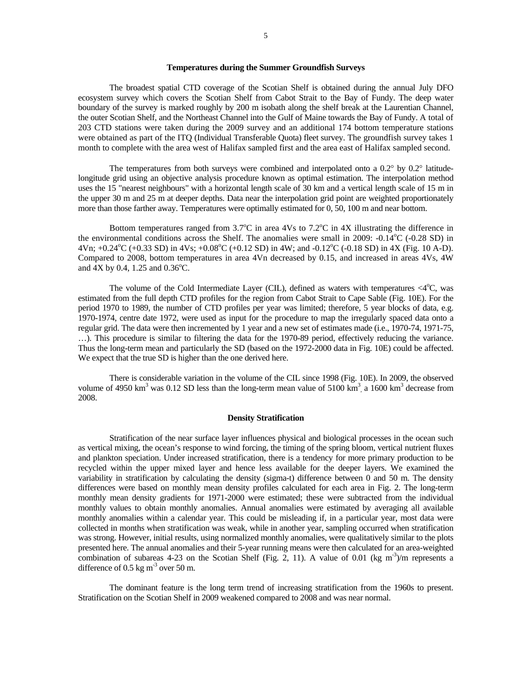# **Temperatures during the Summer Groundfish Surveys**

 The broadest spatial CTD coverage of the Scotian Shelf is obtained during the annual July DFO ecosystem survey which covers the Scotian Shelf from Cabot Strait to the Bay of Fundy. The deep water boundary of the survey is marked roughly by 200 m isobath along the shelf break at the Laurentian Channel, the outer Scotian Shelf, and the Northeast Channel into the Gulf of Maine towards the Bay of Fundy. A total of 203 CTD stations were taken during the 2009 survey and an additional 174 bottom temperature stations were obtained as part of the ITQ (Individual Transferable Quota) fleet survey. The groundfish survey takes 1 month to complete with the area west of Halifax sampled first and the area east of Halifax sampled second.

The temperatures from both surveys were combined and interpolated onto a  $0.2^{\circ}$  by  $0.2^{\circ}$  latitudelongitude grid using an objective analysis procedure known as optimal estimation. The interpolation method uses the 15 "nearest neighbours" with a horizontal length scale of 30 km and a vertical length scale of 15 m in the upper 30 m and 25 m at deeper depths. Data near the interpolation grid point are weighted proportionately more than those farther away. Temperatures were optimally estimated for 0, 50, 100 m and near bottom.

Bottom temperatures ranged from  $3.7^{\circ}$ C in area 4Vs to  $7.2^{\circ}$ C in 4X illustrating the difference in the environmental conditions across the Shelf. The anomalies were small in 2009:  $-0.14\degree$ C ( $-0.28$  SD) in  $4Vn$ ; +0.24<sup>o</sup>C (+0.33 SD) in 4Vs; +0.08<sup>o</sup>C (+0.12 SD) in 4W; and -0.12<sup>o</sup>C (-0.18 SD) in 4X (Fig. 10 A-D). Compared to 2008, bottom temperatures in area 4Vn decreased by 0.15, and increased in areas 4Vs, 4W and  $4X$  by 0.4, 1.25 and 0.36°C.

The volume of the Cold Intermediate Layer (CIL), defined as waters with temperatures  $\langle 4^{\circ}$ C, was estimated from the full depth CTD profiles for the region from Cabot Strait to Cape Sable (Fig. 10E). For the period 1970 to 1989, the number of CTD profiles per year was limited; therefore, 5 year blocks of data, e.g. 1970-1974, centre date 1972, were used as input for the procedure to map the irregularly spaced data onto a regular grid. The data were then incremented by 1 year and a new set of estimates made (i.e., 1970-74, 1971-75, …). This procedure is similar to filtering the data for the 1970-89 period, effectively reducing the variance. Thus the long-term mean and particularly the SD (based on the 1972-2000 data in Fig. 10E) could be affected. We expect that the true SD is higher than the one derived here.

There is considerable variation in the volume of the CIL since 1998 (Fig. 10E). In 2009, the observed volume of 4950 km<sup>3</sup> was 0.12 SD less than the long-term mean value of 5100 km<sup>3</sup>, a 1600 km<sup>3</sup> decrease from 2008.

### **Density Stratification**

Stratification of the near surface layer influences physical and biological processes in the ocean such as vertical mixing, the ocean's response to wind forcing, the timing of the spring bloom, vertical nutrient fluxes and plankton speciation. Under increased stratification, there is a tendency for more primary production to be recycled within the upper mixed layer and hence less available for the deeper layers. We examined the variability in stratification by calculating the density (sigma-t) difference between 0 and 50 m. The density differences were based on monthly mean density profiles calculated for each area in Fig. 2. The long-term monthly mean density gradients for 1971-2000 were estimated; these were subtracted from the individual monthly values to obtain monthly anomalies. Annual anomalies were estimated by averaging all available monthly anomalies within a calendar year. This could be misleading if, in a particular year, most data were collected in months when stratification was weak, while in another year, sampling occurred when stratification was strong. However, initial results, using normalized monthly anomalies, were qualitatively similar to the plots presented here. The annual anomalies and their 5-year running means were then calculated for an area-weighted combination of subareas 4-23 on the Scotian Shelf (Fig. 2, 11). A value of 0.01 (kg m<sup>-3</sup>)/m represents a difference of  $0.5 \text{ kg m}^{-3}$  over 50 m.

 The dominant feature is the long term trend of increasing stratification from the 1960s to present. Stratification on the Scotian Shelf in 2009 weakened compared to 2008 and was near normal.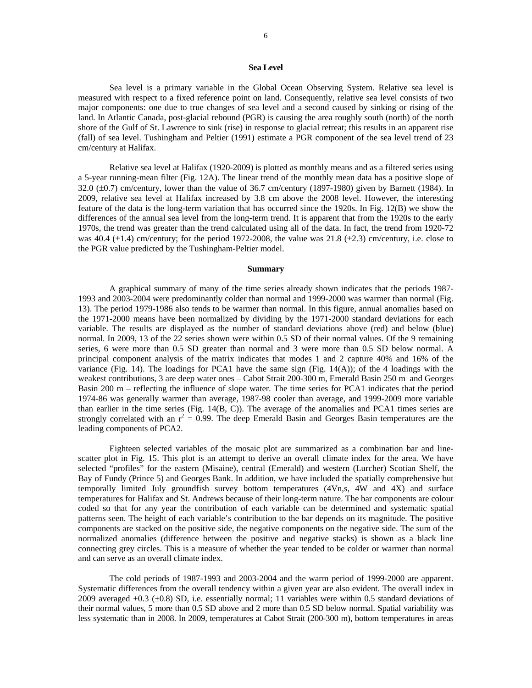### **Sea Level**

 Sea level is a primary variable in the Global Ocean Observing System. Relative sea level is measured with respect to a fixed reference point on land. Consequently, relative sea level consists of two major components: one due to true changes of sea level and a second caused by sinking or rising of the land. In Atlantic Canada, post-glacial rebound (PGR) is causing the area roughly south (north) of the north shore of the Gulf of St. Lawrence to sink (rise) in response to glacial retreat; this results in an apparent rise (fall) of sea level. Tushingham and Peltier (1991) estimate a PGR component of the sea level trend of 23 cm/century at Halifax.

 Relative sea level at Halifax (1920-2009) is plotted as monthly means and as a filtered series using a 5-year running-mean filter (Fig. 12A). The linear trend of the monthly mean data has a positive slope of 32.0 (±0.7) cm/century, lower than the value of 36.7 cm/century (1897-1980) given by Barnett (1984). In 2009, relative sea level at Halifax increased by 3.8 cm above the 2008 level. However, the interesting feature of the data is the long-term variation that has occurred since the 1920s. In Fig. 12(B) we show the differences of the annual sea level from the long-term trend. It is apparent that from the 1920s to the early 1970s, the trend was greater than the trend calculated using all of the data. In fact, the trend from 1920-72 was 40.4 ( $\pm$ 1.4) cm/century; for the period 1972-2008, the value was 21.8 ( $\pm$ 2.3) cm/century, i.e. close to the PGR value predicted by the Tushingham-Peltier model.

#### **Summary**

A graphical summary of many of the time series already shown indicates that the periods 1987- 1993 and 2003-2004 were predominantly colder than normal and 1999-2000 was warmer than normal (Fig. 13). The period 1979-1986 also tends to be warmer than normal. In this figure, annual anomalies based on the 1971-2000 means have been normalized by dividing by the 1971-2000 standard deviations for each variable. The results are displayed as the number of standard deviations above (red) and below (blue) normal. In 2009, 13 of the 22 series shown were within 0.5 SD of their normal values. Of the 9 remaining series, 6 were more than 0.5 SD greater than normal and 3 were more than 0.5 SD below normal. A principal component analysis of the matrix indicates that modes 1 and 2 capture 40% and 16% of the variance (Fig. 14). The loadings for PCA1 have the same sign (Fig. 14(A)); of the 4 loadings with the weakest contributions, 3 are deep water ones – Cabot Strait 200-300 m, Emerald Basin 250 m and Georges Basin 200 m – reflecting the influence of slope water. The time series for PCA1 indicates that the period 1974-86 was generally warmer than average, 1987-98 cooler than average, and 1999-2009 more variable than earlier in the time series (Fig. 14(B, C)). The average of the anomalies and PCA1 times series are strongly correlated with an  $r^2 = 0.99$ . The deep Emerald Basin and Georges Basin temperatures are the leading components of PCA2.

Eighteen selected variables of the mosaic plot are summarized as a combination bar and linescatter plot in Fig. 15. This plot is an attempt to derive an overall climate index for the area. We have selected "profiles" for the eastern (Misaine), central (Emerald) and western (Lurcher) Scotian Shelf, the Bay of Fundy (Prince 5) and Georges Bank. In addition, we have included the spatially comprehensive but temporally limited July groundfish survey bottom temperatures (4Vn,s, 4W and 4X) and surface temperatures for Halifax and St. Andrews because of their long-term nature. The bar components are colour coded so that for any year the contribution of each variable can be determined and systematic spatial patterns seen. The height of each variable's contribution to the bar depends on its magnitude. The positive components are stacked on the positive side, the negative components on the negative side. The sum of the normalized anomalies (difference between the positive and negative stacks) is shown as a black line connecting grey circles. This is a measure of whether the year tended to be colder or warmer than normal and can serve as an overall climate index.

 The cold periods of 1987-1993 and 2003-2004 and the warm period of 1999-2000 are apparent. Systematic differences from the overall tendency within a given year are also evident. The overall index in 2009 averaged  $+0.3$  ( $\pm 0.8$ ) SD, i.e. essentially normal; 11 variables were within 0.5 standard deviations of their normal values, 5 more than 0.5 SD above and 2 more than 0.5 SD below normal. Spatial variability was less systematic than in 2008. In 2009, temperatures at Cabot Strait (200-300 m), bottom temperatures in areas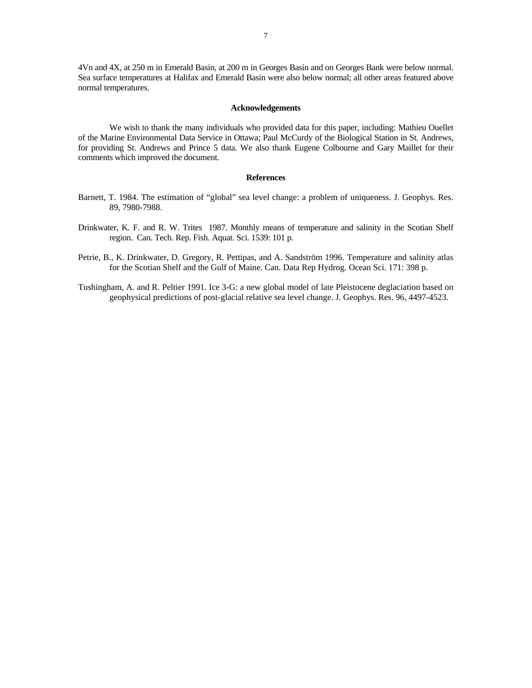4Vn and 4X, at 250 m in Emerald Basin, at 200 m in Georges Basin and on Georges Bank were below normal. Sea surface temperatures at Halifax and Emerald Basin were also below normal; all other areas featured above normal temperatures.

#### **Acknowledgements**

 We wish to thank the many individuals who provided data for this paper, including: Mathieu Ouellet of the Marine Environmental Data Service in Ottawa; Paul McCurdy of the Biological Station in St. Andrews, for providing St. Andrews and Prince 5 data. We also thank Eugene Colbourne and Gary Maillet for their comments which improved the document.

# **References**

- Barnett, T. 1984. The estimation of "global" sea level change: a problem of uniqueness. J. Geophys. Res. 89, 7980-7988.
- Drinkwater, K. F. and R. W. Trites 1987. Monthly means of temperature and salinity in the Scotian Shelf region. Can. Tech. Rep. Fish. Aquat. Sci. 1539: 101 p.
- Petrie, B., K. Drinkwater, D. Gregory, R. Pettipas, and A. Sandström 1996. Temperature and salinity atlas for the Scotian Shelf and the Gulf of Maine. Can. Data Rep Hydrog. Ocean Sci. 171: 398 p.
- Tushingham, A. and R. Peltier 1991. Ice 3-G: a new global model of late Pleistocene deglaciation based on geophysical predictions of post-glacial relative sea level change. J. Geophys. Res. 96, 4497-4523.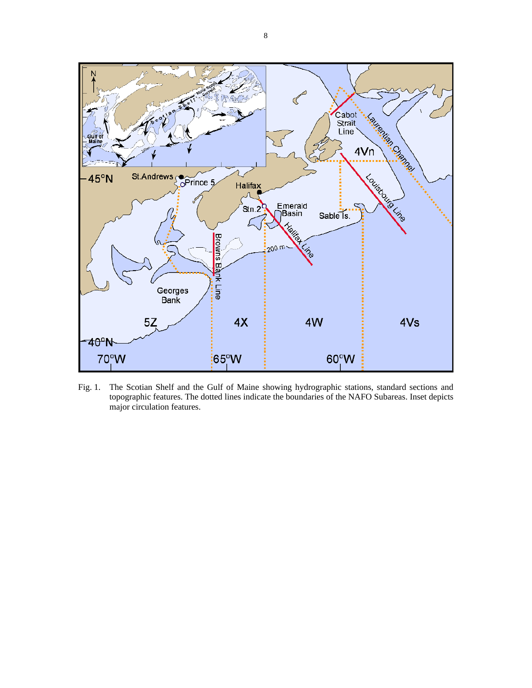

Fig. 1. The Scotian Shelf and the Gulf of Maine showing hydrographic stations, standard sections and topographic features. The dotted lines indicate the boundaries of the NAFO Subareas. Inset depicts major circulation features.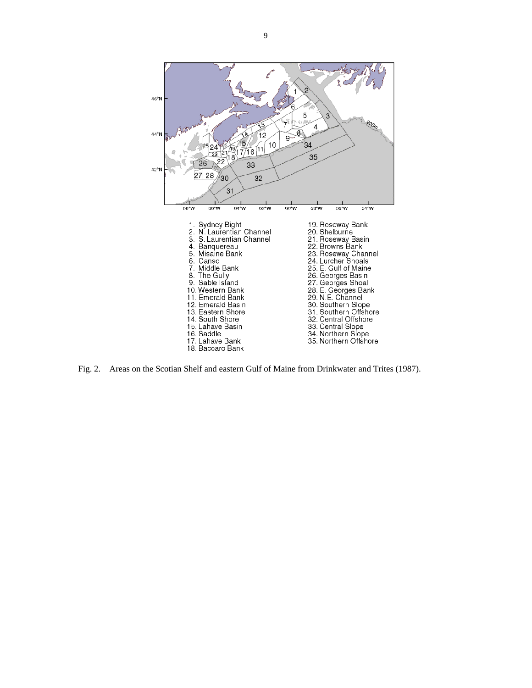

Fig. 2. Areas on the Scotian Shelf and eastern Gulf of Maine from Drinkwater and Trites (1987).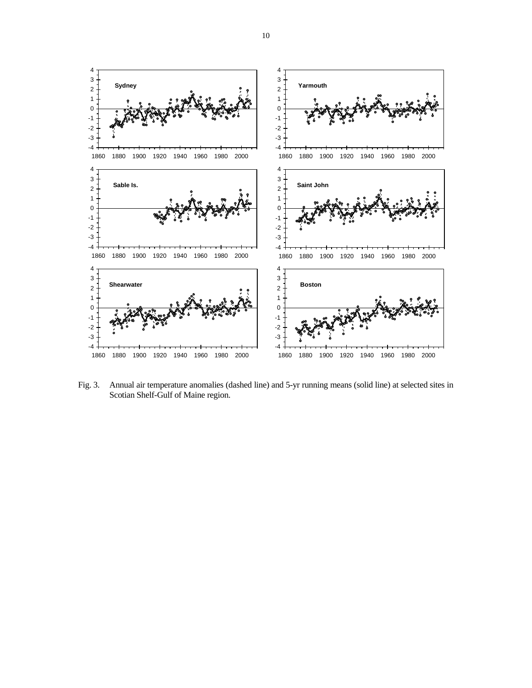

Fig. 3. Annual air temperature anomalies (dashed line) and 5-yr running means (solid line) at selected sites in Scotian Shelf-Gulf of Maine region.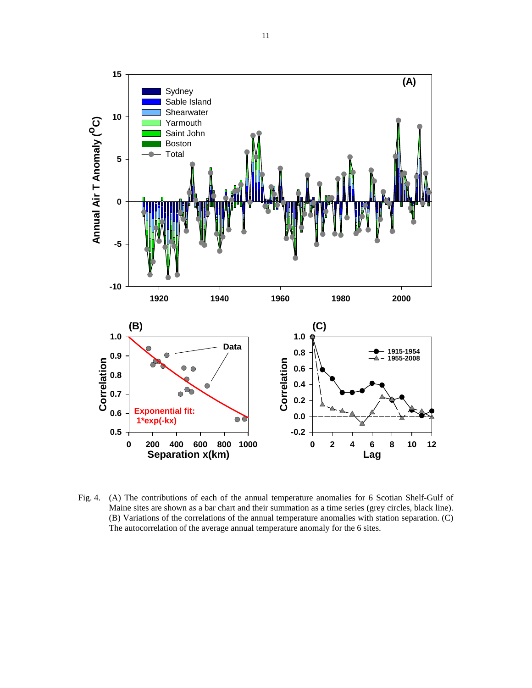

Fig. 4. (A) The contributions of each of the annual temperature anomalies for 6 Scotian Shelf-Gulf of Maine sites are shown as a bar chart and their summation as a time series (grey circles, black line). (B) Variations of the correlations of the annual temperature anomalies with station separation. (C) The autocorrelation of the average annual temperature anomaly for the 6 sites.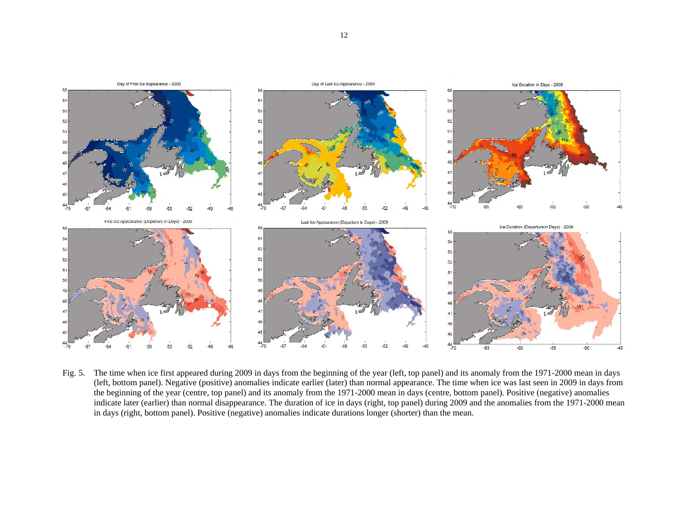

Fig. 5. The time when ice first appeared during 2009 in days from the beginning of the year (left, top panel) and its anomaly from the 1971-2000 mean in days (left, bottom panel). Negative (positive) anomalies indicate earlier (later) than normal appearance. The time when ice was last seen in 2009 in days from the beginning of the year (centre, top panel) and its anomaly from the 1971-2000 mean in days (centre, bottom panel). Positive (negative) anomalies indicate later (earlier) than normal disappearance. The duration of ice in days (right, top panel) during 2009 and the anomalies from the 1971-2000 mean in days (right, bottom panel). Positive (negative) anomalies indicate durations longer (shorter) than the mean.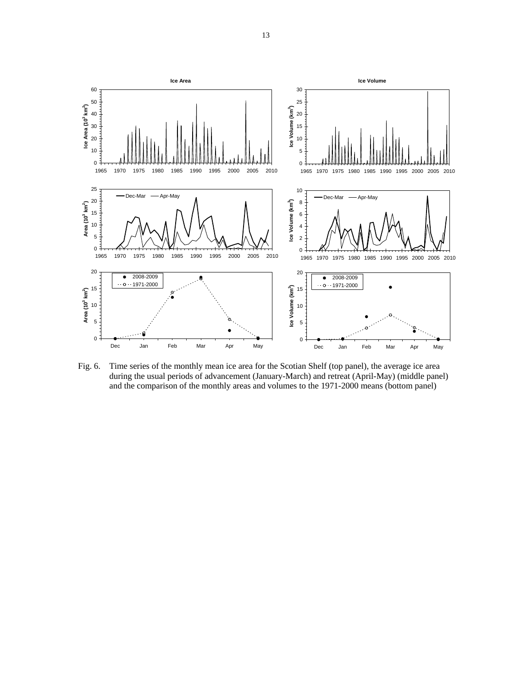

Fig. 6. Time series of the monthly mean ice area for the Scotian Shelf (top panel), the average ice area during the usual periods of advancement (January-March) and retreat (April-May) (middle panel) and the comparison of the monthly areas and volumes to the 1971-2000 means (bottom panel)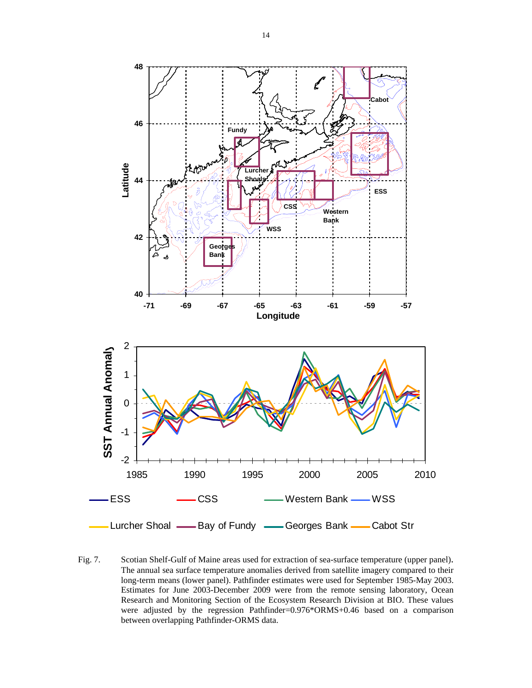

Fig. 7. Scotian Shelf-Gulf of Maine areas used for extraction of sea-surface temperature (upper panel). The annual sea surface temperature anomalies derived from satellite imagery compared to their long-term means (lower panel). Pathfinder estimates were used for September 1985-May 2003. Estimates for June 2003-December 2009 were from the remote sensing laboratory, Ocean Research and Monitoring Section of the Ecosystem Research Division at BIO. These values were adjusted by the regression Pathfinder=0.976\*ORMS+0.46 based on a comparison between overlapping Pathfinder-ORMS data.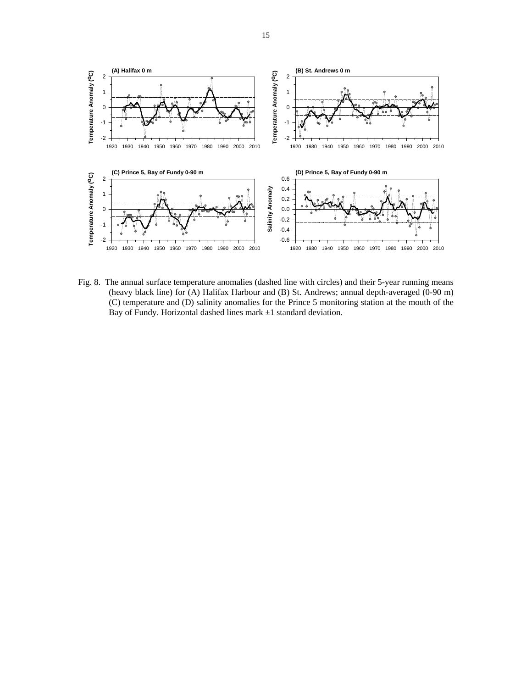

Fig. 8. The annual surface temperature anomalies (dashed line with circles) and their 5-year running means (heavy black line) for (A) Halifax Harbour and (B) St. Andrews; annual depth-averaged (0-90 m) (C) temperature and (D) salinity anomalies for the Prince 5 monitoring station at the mouth of the Bay of Fundy. Horizontal dashed lines mark ±1 standard deviation.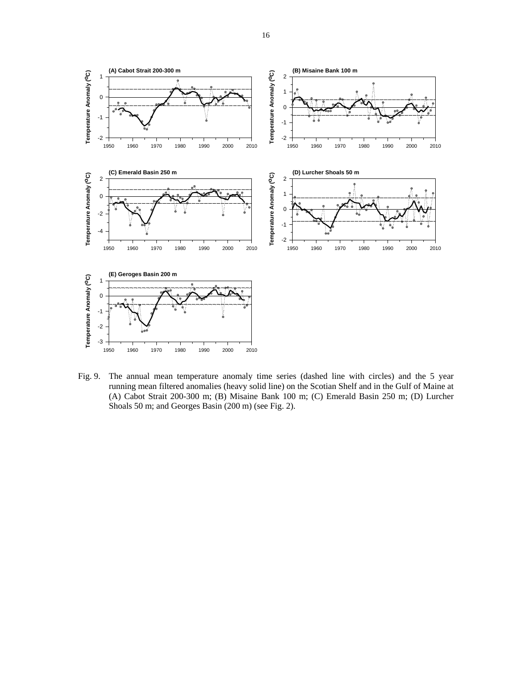

Fig. 9. The annual mean temperature anomaly time series (dashed line with circles) and the 5 year running mean filtered anomalies (heavy solid line) on the Scotian Shelf and in the Gulf of Maine at (A) Cabot Strait 200-300 m; (B) Misaine Bank 100 m; (C) Emerald Basin 250 m; (D) Lurcher Shoals 50 m; and Georges Basin (200 m) (see Fig. 2).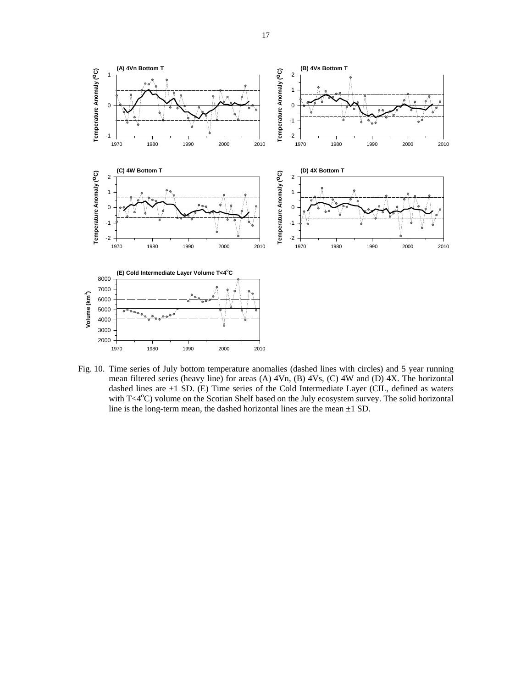

Fig. 10. Time series of July bottom temperature anomalies (dashed lines with circles) and 5 year running mean filtered series (heavy line) for areas (A) 4Vn, (B) 4Vs, (C) 4W and (D) 4X. The horizontal dashed lines are  $\pm 1$  SD. (E) Time series of the Cold Intermediate Layer (CIL, defined as waters with T<4<sup>o</sup>C) volume on the Scotian Shelf based on the July ecosystem survey. The solid horizontal line is the long-term mean, the dashed horizontal lines are the mean ±1 SD.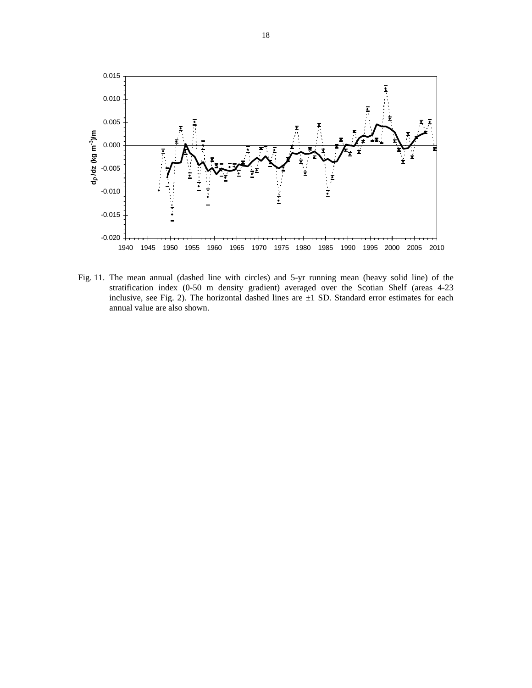

Fig. 11. The mean annual (dashed line with circles) and 5-yr running mean (heavy solid line) of the stratification index (0-50 m density gradient) averaged over the Scotian Shelf (areas 4-23 inclusive, see Fig. 2). The horizontal dashed lines are  $\pm 1$  SD. Standard error estimates for each annual value are also shown.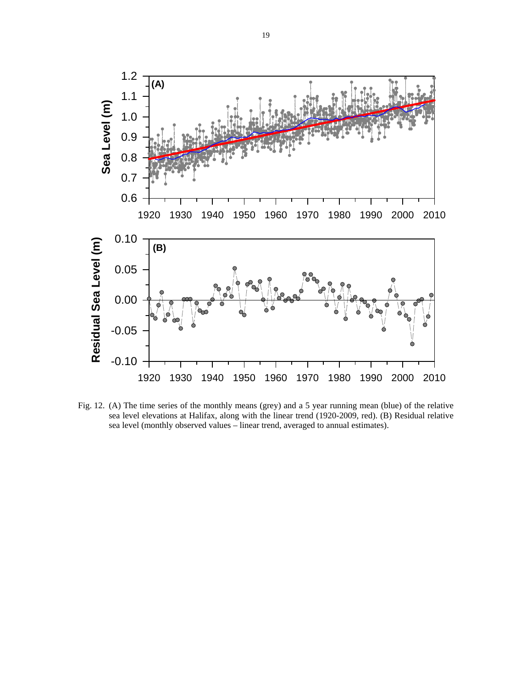

Fig. 12. (A) The time series of the monthly means (grey) and a 5 year running mean (blue) of the relative sea level elevations at Halifax, along with the linear trend (1920-2009, red). (B) Residual relative sea level (monthly observed values – linear trend, averaged to annual estimates).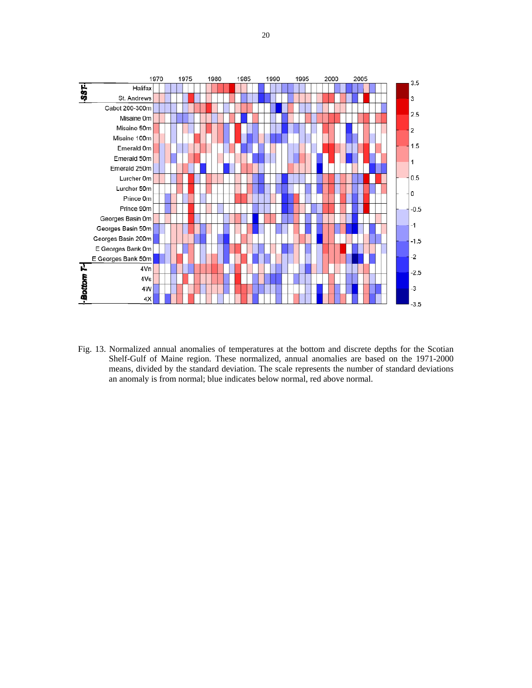

Fig. 13. Normalized annual anomalies of temperatures at the bottom and discrete depths for the Scotian Shelf-Gulf of Maine region. These normalized, annual anomalies are based on the 1971-2000 means, divided by the standard deviation. The scale represents the number of standard deviations an anomaly is from normal; blue indicates below normal, red above normal.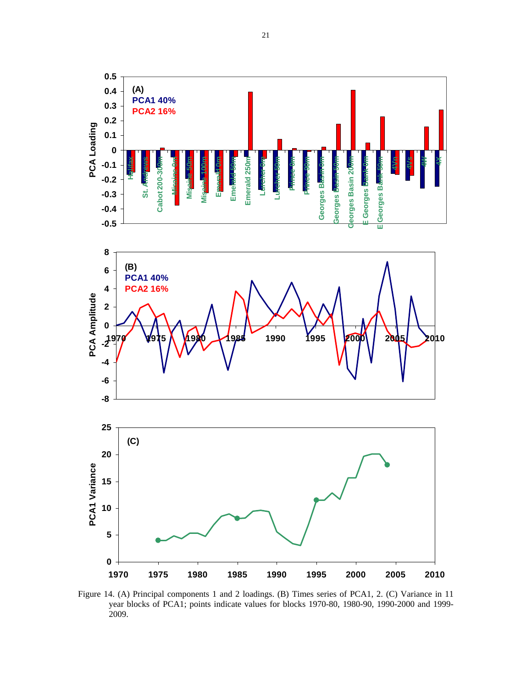

Figure 14. (A) Principal components 1 and 2 loadings. (B) Times series of PCA1, 2. (C) Variance in 11 year blocks of PCA1; points indicate values for blocks 1970-80, 1980-90, 1990-2000 and 1999- 2009.